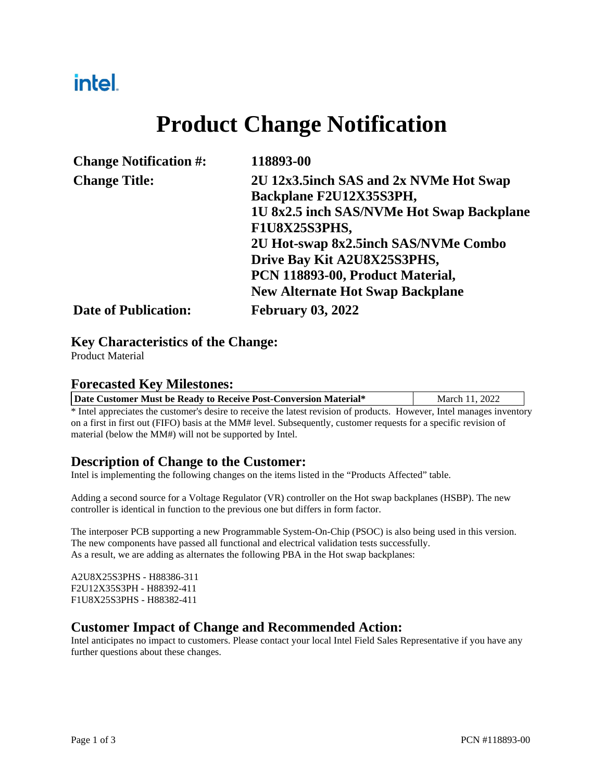## intel.

# **Product Change Notification**

| <b>Change Notification #:</b> | 118893-00                                 |
|-------------------------------|-------------------------------------------|
| <b>Change Title:</b>          | 2U 12x3.5inch SAS and 2x NVMe Hot Swap    |
|                               | Backplane F2U12X35S3PH,                   |
|                               | 1U 8x2.5 inch SAS/NVMe Hot Swap Backplane |
|                               | F1U8X25S3PHS,                             |
|                               | 2U Hot-swap 8x2.5inch SAS/NVMe Combo      |
|                               | Drive Bay Kit A2U8X25S3PHS,               |
|                               | PCN 118893-00, Product Material,          |
|                               | <b>New Alternate Hot Swap Backplane</b>   |
| <b>Date of Publication:</b>   | <b>February 03, 2022</b>                  |

#### **Key Characteristics of the Change:**

Product Material

#### **Forecasted Key Milestones:**

| Date Customer Must be Ready to Receive Post-Conversion Material* | March 11, 2022 |
|------------------------------------------------------------------|----------------|
|------------------------------------------------------------------|----------------|

\* Intel appreciates the customer's desire to receive the latest revision of products. However, Intel manages inventory on a first in first out (FIFO) basis at the MM# level. Subsequently, customer requests for a specific revision of material (below the MM#) will not be supported by Intel.

#### **Description of Change to the Customer:**

Intel is implementing the following changes on the items listed in the "Products Affected" table.

Adding a second source for a Voltage Regulator (VR) controller on the Hot swap backplanes (HSBP). The new controller is identical in function to the previous one but differs in form factor.

The interposer PCB supporting a new Programmable System-On-Chip (PSOC) is also being used in this version. The new components have passed all functional and electrical validation tests successfully. As a result, we are adding as alternates the following PBA in the Hot swap backplanes:

A2U8X25S3PHS - H88386-311 F2U12X35S3PH - H88392-411 F1U8X25S3PHS - H88382-411

#### **Customer Impact of Change and Recommended Action:**

Intel anticipates no impact to customers. Please contact your local Intel Field Sales Representative if you have any further questions about these changes.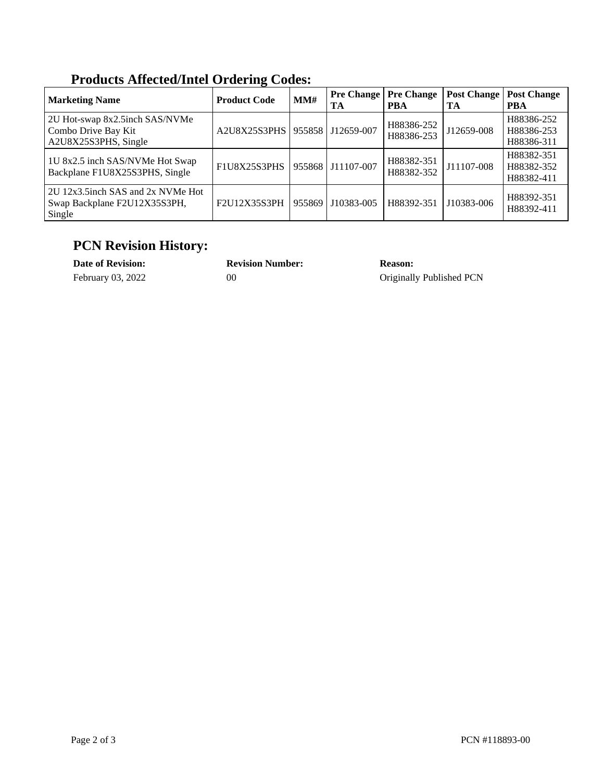| Troutely interest inter or acting couple.                                     |                     |        |                         |                                 |                          |                                        |  |  |
|-------------------------------------------------------------------------------|---------------------|--------|-------------------------|---------------------------------|--------------------------|----------------------------------------|--|--|
| <b>Marketing Name</b>                                                         | <b>Product Code</b> | MM#    | <b>Pre Change</b><br>TA | <b>Pre Change</b><br><b>PBA</b> | <b>Post Change</b><br>TA | <b>Post Change</b><br><b>PBA</b>       |  |  |
| 2U Hot-swap 8x2.5inch SAS/NVMe<br>Combo Drive Bay Kit<br>A2U8X25S3PHS, Single | A2U8X25S3PHS        |        | 955858 J12659-007       | H88386-252<br>H88386-253        | J12659-008               | H88386-252<br>H88386-253<br>H88386-311 |  |  |
| 1U 8x2.5 inch SAS/NVMe Hot Swap<br>Backplane F1U8X25S3PHS, Single             | F1U8X25S3PHS        |        | 955868 J11107-007       | H88382-351<br>H88382-352        | J11107-008               | H88382-351<br>H88382-352<br>H88382-411 |  |  |
| 2U 12x3.5 inch SAS and 2x NVMe Hot<br>Swap Backplane F2U12X35S3PH,<br>Single  | F2U12X35S3PH        | 955869 | J10383-005              | H88392-351                      | J10383-006               | H88392-351<br>H88392-411               |  |  |

### **Products Affected/Intel Ordering Codes:**

### **PCN Revision History:**

| <b>Date of Revision:</b> | <b>Revision Number:</b> | Reason:                  |
|--------------------------|-------------------------|--------------------------|
| February 03, 2022        | 00                      | Originally Published PCN |